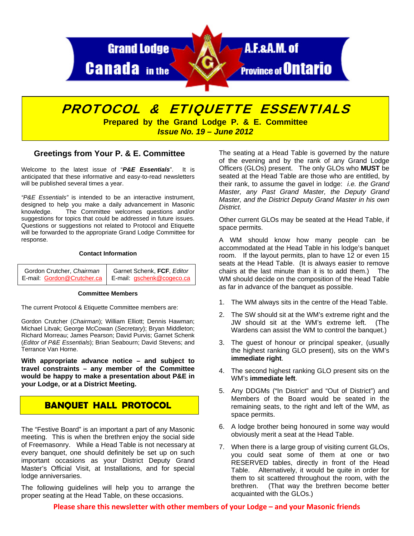

# PROTOCOL & ETIQUETTE ESSENTIALS

**Prepared by the Grand Lodge P. & E. Committee**  *Issue No. 19 – June 2012* 

### **Greetings from Your P. & E. Committee**

Welcome to the latest issue of "*P&E Essentials*". It is anticipated that these informative and easy-to-read newsletters will be published several times a year.

*"P&E Essentials"* is intended to be an interactive instrument, designed to help you make a daily advancement in Masonic knowledge. The Committee welcomes questions and/or suggestions for topics that could be addressed in future issues. Questions or suggestions not related to Protocol and Etiquette will be forwarded to the appropriate Grand Lodge Committee for response.

#### **Contact Information**

| Gordon Crutcher, Chairman  | Garnet Schenk, FCF, Editor |
|----------------------------|----------------------------|
| E-mail: Gordon@Crutcher.ca | E-mail: gschenk@cogeco.ca  |

#### **Committee Members**

The current Protocol & Etiquette Committee members are:

Gordon Crutcher (*Chairman*); William Elliott; Dennis Hawman; Michael Litvak; George McCowan (*Secretary*); Bryan Middleton; Richard Morreau; James Pearson; David Purvis; Garnet Schenk (*Editor of P&E Essentials*); Brian Seabourn; David Stevens; and Terrance Van Horne.

**With appropriate advance notice – and subject to travel constraints – any member of the Committee would be happy to make a presentation about P&E in your Lodge, or at a District Meeting.** 

# **BANQUET HALL PROTOCOL**

The "Festive Board" is an important a part of any Masonic meeting. This is when the brethren enjoy the social side of Freemasonry. While a Head Table is not necessary at every banquet, one should definitely be set up on such important occasions as your District Deputy Grand Master's Official Visit, at Installations, and for special lodge anniversaries.

The following guidelines will help you to arrange the proper seating at the Head Table, on these occasions.

The seating at a Head Table is governed by the nature of the evening and by the rank of any Grand Lodge Officers (GLOs) present. The only GLOs who **MUST** be seated at the Head Table are those who are entitled, by their rank, to assume the gavel in lodge: *i.e. the Grand Master, any Past Grand Master, the Deputy Grand Master, and the District Deputy Grand Master in his own District.* 

Other current GLOs may be seated at the Head Table, if space permits.

A WM should know how many people can be accommodated at the Head Table in his lodge's banquet room. If the layout permits, plan to have 12 or even 15 seats at the Head Table. (It is always easier to remove chairs at the last minute than it is to add them.) The WM should decide on the composition of the Head Table as far in advance of the banquet as possible.

- 1. The WM always sits in the centre of the Head Table.
- 2. The SW should sit at the WM's extreme right and the JW should sit at the WM's extreme left. (The Wardens can assist the WM to control the banquet.)
- 3. The guest of honour or principal speaker, (usually the highest ranking GLO present), sits on the WM's **immediate right**.
- 4. The second highest ranking GLO present sits on the WM's **immediate left**.
- 5. Any DDGMs ("In District" and "Out of District") and Members of the Board would be seated in the remaining seats, to the right and left of the WM, as space permits.
- 6. A lodge brother being honoured in some way would obviously merit a seat at the Head Table.
- 7. When there is a large group of visiting current GLOs, you could seat some of them at one or two RESERVED tables, directly in front of the Head Table. Alternatively, it would be quite in order for them to sit scattered throughout the room, with the brethren. (That way the brethren become better acquainted with the GLOs.)

**Please share this newsletter with other members of your Lodge – and your Masonic friends**